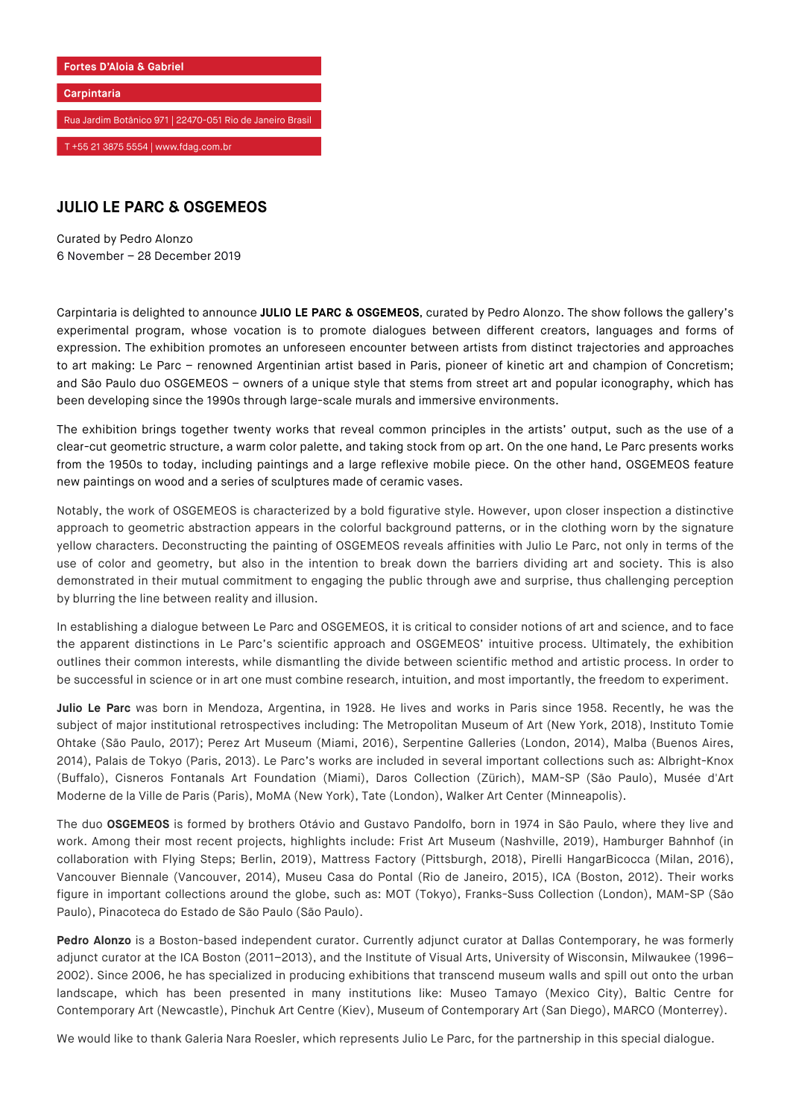

## **JULIO LE PARC & OSGEMEOS**

Curated by Pedro Alonzo 6 November – 28 December 2019

Carpintaria is delighted to announce **JULIO LE PARC & OSGEMEOS**, curated by Pedro Alonzo. The show follows the gallery's experimental program, whose vocation is to promote dialogues between different creators, languages and forms of expression. The exhibition promotes an unforeseen encounter between artists from distinct trajectories and approaches to art making: Le Parc – renowned Argentinian artist based in Paris, pioneer of kinetic art and champion of Concretism; and São Paulo duo OSGEMEOS – owners of a unique style that stems from street art and popular iconography, which has been developing since the 1990s through large-scale murals and immersive environments.

The exhibition brings together twenty works that reveal common principles in the artists' output, such as the use of a clear-cut geometric structure, a warm color palette, and taking stock from op art. On the one hand, Le Parc presents works from the 1950s to today, including paintings and a large reflexive mobile piece. On the other hand, OSGEMEOS feature new paintings on wood and a series of sculptures made of ceramic vases.

Notably, the work of OSGEMEOS is characterized by a bold figurative style. However, upon closer inspection a distinctive approach to geometric abstraction appears in the colorful background patterns, or in the clothing worn by the signature yellow characters. Deconstructing the painting of OSGEMEOS reveals affinities with Julio Le Parc, not only in terms of the use of color and geometry, but also in the intention to break down the barriers dividing art and society. This is also demonstrated in their mutual commitment to engaging the public through awe and surprise, thus challenging perception by blurring the line between reality and illusion.

In establishing a dialogue between Le Parc and OSGEMEOS, it is critical to consider notions of art and science, and to face the apparent distinctions in Le Parc's scientific approach and OSGEMEOS' intuitive process. Ultimately, the exhibition outlines their common interests, while dismantling the divide between scientific method and artistic process. In order to be successful in science or in art one must combine research, intuition, and most importantly, the freedom to experiment.

**Julio Le Parc** was born in Mendoza, Argentina, in 1928. He lives and works in Paris since 1958. Recently, he was the subject of major institutional retrospectives including: The Metropolitan Museum of Art (New York, 2018), Instituto Tomie Ohtake (São Paulo, 2017); Perez Art Museum (Miami, 2016), Serpentine Galleries (London, 2014), Malba (Buenos Aires, 2014), Palais de Tokyo (Paris, 2013). Le Parc's works are included in several important collections such as: Albright-Knox (Buffalo), Cisneros Fontanals Art Foundation (Miami), Daros Collection (Zürich), MAM-SP (São Paulo), Musée d'Art Moderne de la Ville de Paris (Paris), MoMA (New York), Tate (London), Walker Art Center (Minneapolis).

The duo **OSGEMEOS** is formed by brothers Otávio and Gustavo Pandolfo, born in 1974 in São Paulo, where they live and work. Among their most recent projects, highlights include: Frist Art Museum (Nashville, 2019), Hamburger Bahnhof (in collaboration with Flying Steps; Berlin, 2019), Mattress Factory (Pittsburgh, 2018), Pirelli HangarBicocca (Milan, 2016), Vancouver Biennale (Vancouver, 2014), Museu Casa do Pontal (Rio de Janeiro, 2015), ICA (Boston, 2012). Their works figure in important collections around the globe, such as: MOT (Tokyo), Franks-Suss Collection (London), MAM-SP (São Paulo), Pinacoteca do Estado de São Paulo (São Paulo).

Pedro Alonzo is a Boston-based independent curator. Currently adjunct curator at Dallas Contemporary, he was formerly adjunct curator at the ICA Boston (2011–2013), and the Institute of Visual Arts, University of Wisconsin, Milwaukee (1996– 2002). Since 2006, he has specialized in producing exhibitions that transcend museum walls and spill out onto the urban landscape, which has been presented in many institutions like: Museo Tamayo (Mexico City), Baltic Centre for Contemporary Art (Newcastle), Pinchuk Art Centre (Kiev), Museum of Contemporary Art (San Diego), MARCO (Monterrey).

We would like to thank Galeria Nara Roesler, which represents Julio Le Parc, for the partnership in this special dialogue.